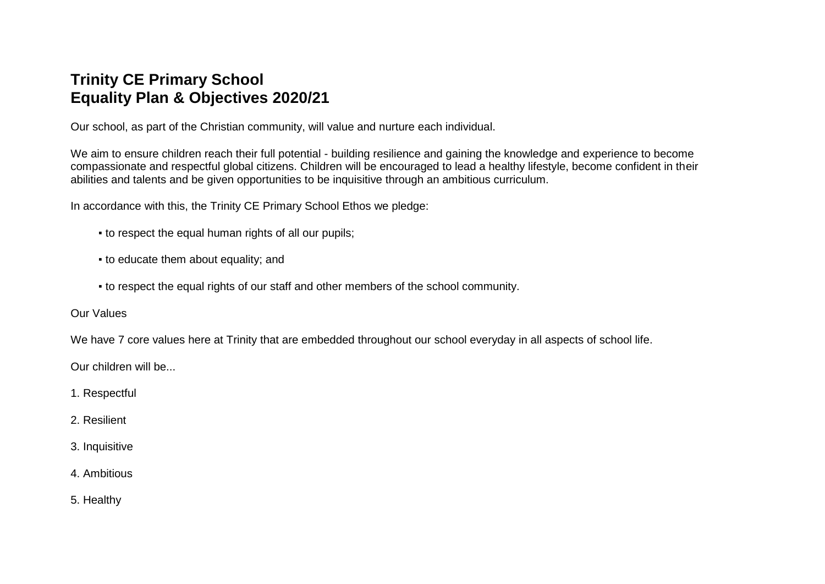## **Trinity CE Primary School Equality Plan & Objectives 2020/21**

Our school, as part of the Christian community, will value and nurture each individual.

We aim to ensure children reach their full potential - building resilience and gaining the knowledge and experience to become compassionate and respectful global citizens. Children will be encouraged to lead a healthy lifestyle, become confident in their abilities and talents and be given opportunities to be inquisitive through an ambitious curriculum.

In accordance with this, the Trinity CE Primary School Ethos we pledge:

- to respect the equal human rights of all our pupils;
- to educate them about equality; and
- to respect the equal rights of our staff and other members of the school community.

Our Values

We have 7 core values here at Trinity that are embedded throughout our school everyday in all aspects of school life.

Our children will be...

- 1. Respectful
- 2. Resilient
- 3. Inquisitive
- 4. Ambitious
- 5. Healthy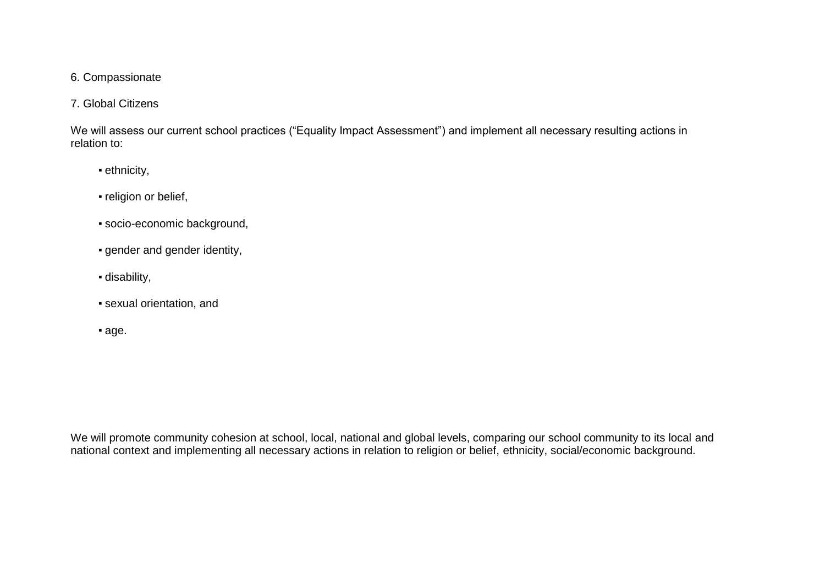#### 6. Compassionate

#### 7. Global Citizens

We will assess our current school practices ("Equality Impact Assessment") and implement all necessary resulting actions in relation to:

- ethnicity,
- religion or belief,
- socio-economic background,
- gender and gender identity,
- disability,
- sexual orientation, and
- age.

We will promote community cohesion at school, local, national and global levels, comparing our school community to its local and national context and implementing all necessary actions in relation to religion or belief, ethnicity, social/economic background.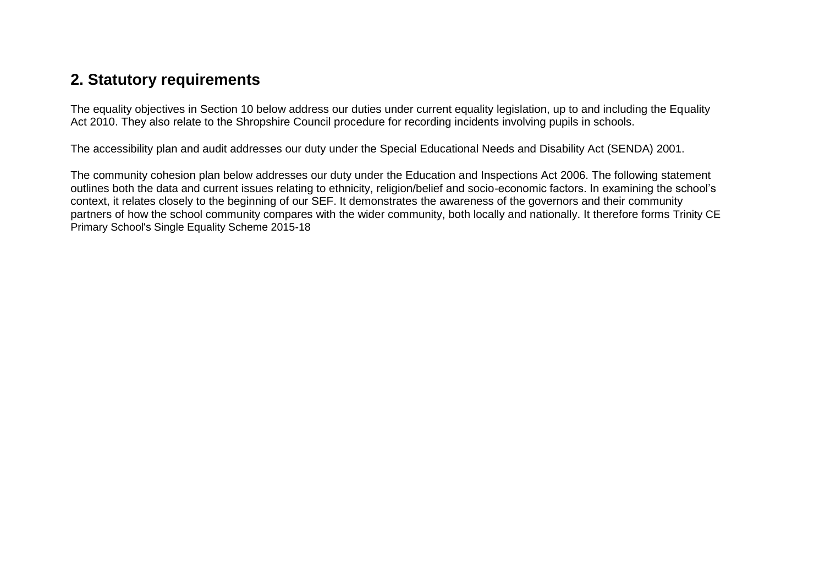### **2. Statutory requirements**

The equality objectives in Section 10 below address our duties under current equality legislation, up to and including the Equality Act 2010. They also relate to the Shropshire Council procedure for recording incidents involving pupils in schools.

The accessibility plan and audit addresses our duty under the Special Educational Needs and Disability Act (SENDA) 2001.

The community cohesion plan below addresses our duty under the Education and Inspections Act 2006. The following statement outlines both the data and current issues relating to ethnicity, religion/belief and socio-economic factors. In examining the school's context, it relates closely to the beginning of our SEF. It demonstrates the awareness of the governors and their community partners of how the school community compares with the wider community, both locally and nationally. It therefore forms Trinity CE Primary School's Single Equality Scheme 2015-18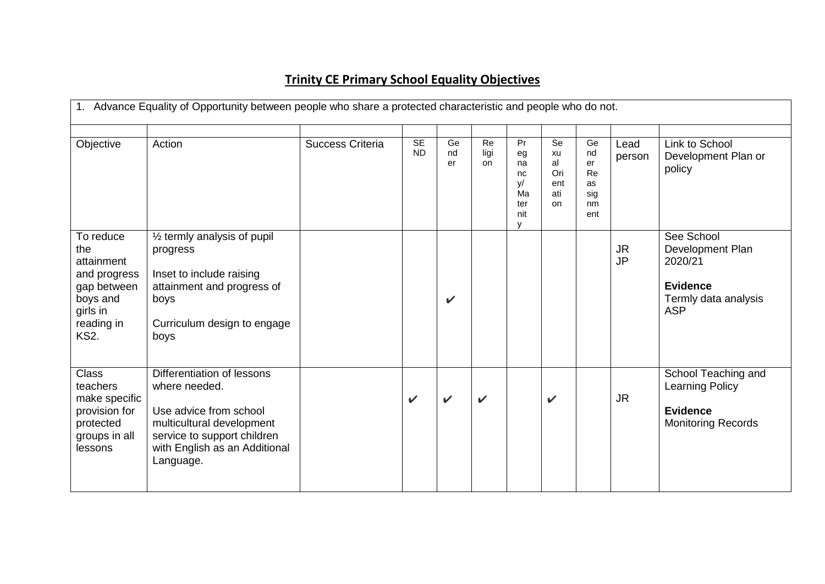# **Trinity CE Primary School Equality Objectives**

| 1. Advance Equality of Opportunity between people who share a protected characteristic and people who do not.      |                                                                                                                                                                                 |                         |                 |                |                  |                                                     |                                           |                                                       |                        |                                                                                                    |
|--------------------------------------------------------------------------------------------------------------------|---------------------------------------------------------------------------------------------------------------------------------------------------------------------------------|-------------------------|-----------------|----------------|------------------|-----------------------------------------------------|-------------------------------------------|-------------------------------------------------------|------------------------|----------------------------------------------------------------------------------------------------|
| Objective                                                                                                          | Action                                                                                                                                                                          | <b>Success Criteria</b> | SE<br><b>ND</b> | Ge<br>nd<br>er | Re<br>ligi<br>on | Pr<br>eg<br>na<br>nc<br>y/<br>Ma<br>ter<br>nit<br>v | Se<br>xu<br>al<br>Ori<br>ent<br>ati<br>on | Ge<br>nd<br>er<br><b>Re</b><br>as<br>sig<br>nm<br>ent | Lead<br>person         | Link to School<br>Development Plan or<br>policy                                                    |
| To reduce<br>the<br>attainment<br>and progress<br>gap between<br>boys and<br>girls in<br>reading in<br><b>KS2.</b> | $\frac{1}{2}$ termly analysis of pupil<br>progress<br>Inset to include raising<br>attainment and progress of<br>boys<br>Curriculum design to engage<br>boys                     |                         |                 | $\checkmark$   |                  |                                                     |                                           |                                                       | <b>JR</b><br><b>JP</b> | See School<br>Development Plan<br>2020/21<br><b>Evidence</b><br>Termly data analysis<br><b>ASP</b> |
| <b>Class</b><br>teachers<br>make specific<br>provision for<br>protected<br>groups in all<br>lessons                | Differentiation of lessons<br>where needed.<br>Use advice from school<br>multicultural development<br>service to support children<br>with English as an Additional<br>Language. |                         | $\checkmark$    | ✔              | $\checkmark$     |                                                     | $\checkmark$                              |                                                       | <b>JR</b>              | School Teaching and<br><b>Learning Policy</b><br><b>Evidence</b><br><b>Monitoring Records</b>      |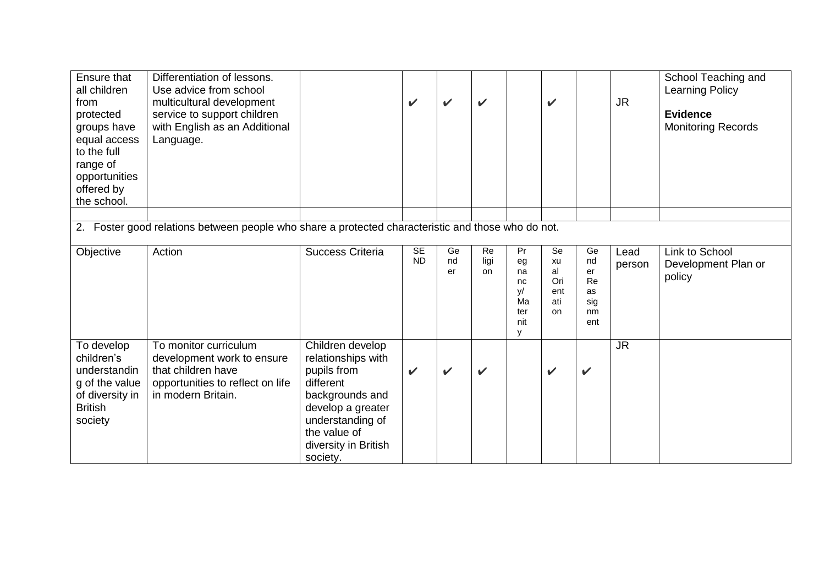| Ensure that<br>all children<br>from<br>protected<br>groups have<br>equal access<br>to the full<br>range of<br>opportunities<br>offered by<br>the school. | Differentiation of lessons.<br>Use advice from school<br>multicultural development<br>service to support children<br>with English as an Additional<br>Language. |                                                                                                                                                                                    | V                      | ✓              | $\checkmark$     |                                                     | $\checkmark$                              |                                                | <b>JR</b>      | School Teaching and<br><b>Learning Policy</b><br><b>Evidence</b><br><b>Monitoring Records</b> |
|----------------------------------------------------------------------------------------------------------------------------------------------------------|-----------------------------------------------------------------------------------------------------------------------------------------------------------------|------------------------------------------------------------------------------------------------------------------------------------------------------------------------------------|------------------------|----------------|------------------|-----------------------------------------------------|-------------------------------------------|------------------------------------------------|----------------|-----------------------------------------------------------------------------------------------|
| 2.                                                                                                                                                       | Foster good relations between people who share a protected characteristic and those who do not.                                                                 |                                                                                                                                                                                    |                        |                |                  |                                                     |                                           |                                                |                |                                                                                               |
| Objective                                                                                                                                                | Action                                                                                                                                                          | <b>Success Criteria</b>                                                                                                                                                            | <b>SE</b><br><b>ND</b> | Ge<br>nd<br>er | Re<br>ligi<br>on | Pr<br>eg<br>na<br>nc<br>y/<br>Ma<br>ter<br>nit<br>у | Se<br>xu<br>al<br>Ori<br>ent<br>ati<br>on | Ge<br>nd<br>er<br>Re<br>as<br>sig<br>nm<br>ent | Lead<br>person | Link to School<br>Development Plan or<br>policy                                               |
| To develop<br>children's<br>understandin<br>g of the value<br>of diversity in<br><b>British</b><br>society                                               | To monitor curriculum<br>development work to ensure<br>that children have<br>opportunities to reflect on life<br>in modern Britain.                             | Children develop<br>relationships with<br>pupils from<br>different<br>backgrounds and<br>develop a greater<br>understanding of<br>the value of<br>diversity in British<br>society. | $\checkmark$           | $\checkmark$   | $\checkmark$     |                                                     | $\checkmark$                              | V                                              | <b>JR</b>      |                                                                                               |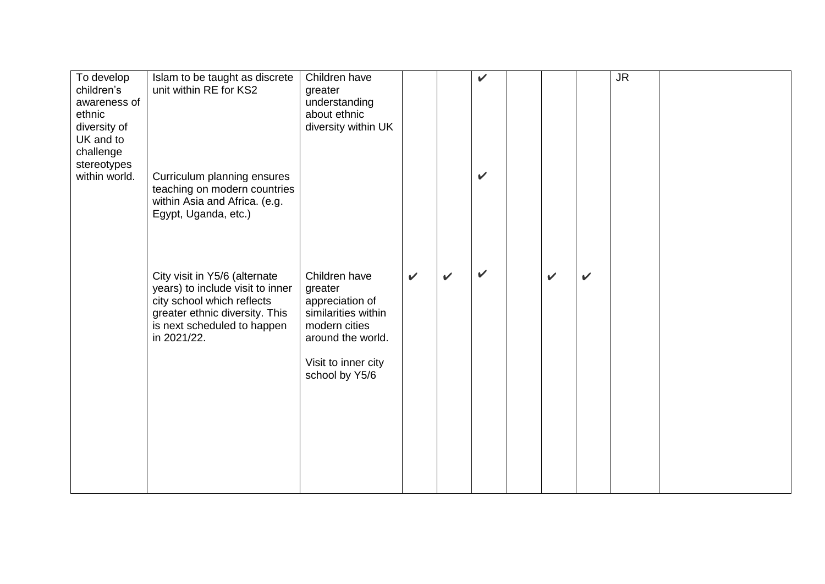| To develop<br>children's<br>awareness of<br>ethnic<br>diversity of<br>UK and to<br>challenge<br>stereotypes<br>within world. | Islam to be taught as discrete<br>unit within RE for KS2<br>Curriculum planning ensures<br>teaching on modern countries<br>within Asia and Africa. (e.g.<br>Egypt, Uganda, etc.) | Children have<br>greater<br>understanding<br>about ethnic<br>diversity within UK                                                                  |              |              | $\checkmark$<br>$\checkmark$ |              |              | <b>JR</b> |  |
|------------------------------------------------------------------------------------------------------------------------------|----------------------------------------------------------------------------------------------------------------------------------------------------------------------------------|---------------------------------------------------------------------------------------------------------------------------------------------------|--------------|--------------|------------------------------|--------------|--------------|-----------|--|
|                                                                                                                              | City visit in Y5/6 (alternate<br>years) to include visit to inner<br>city school which reflects<br>greater ethnic diversity. This<br>is next scheduled to happen<br>in 2021/22.  | Children have<br>greater<br>appreciation of<br>similarities within<br>modern cities<br>around the world.<br>Visit to inner city<br>school by Y5/6 | $\checkmark$ | $\mathbf{v}$ | $\checkmark$                 | $\checkmark$ | $\checkmark$ |           |  |